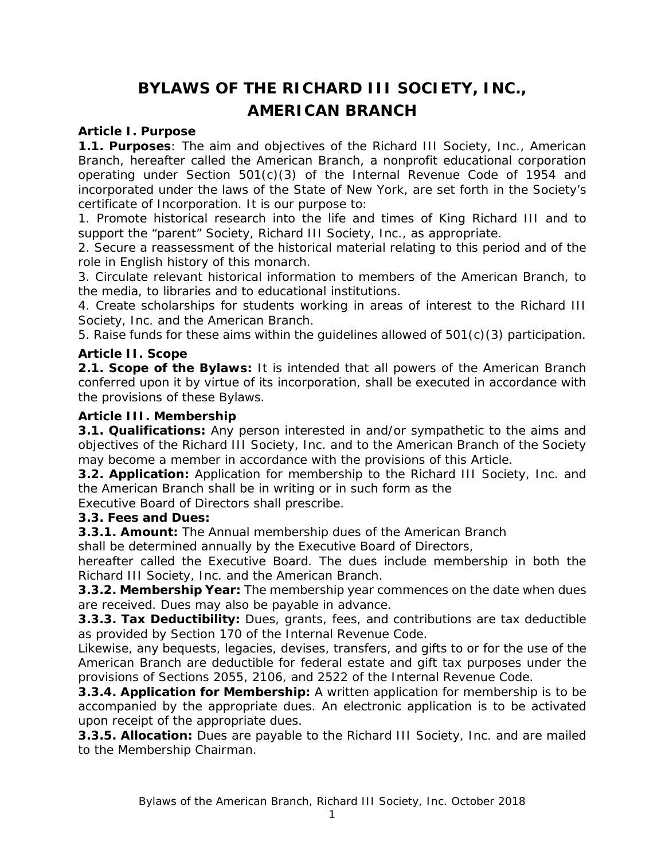# **BYLAWS OF THE RICHARD III SOCIETY, INC., AMERICAN BRANCH**

#### **Article I. Purpose**

**1.1. Purposes**: The aim and objectives of the Richard III Society, Inc., American Branch, hereafter called the American Branch, a nonprofit educational corporation operating under Section  $501(c)(3)$  of the Internal Revenue Code of 1954 and incorporated under the laws of the State of New York, are set forth in the Society's certificate of Incorporation. It is our purpose to:

1. Promote historical research into the life and times of King Richard III and to support the "parent" Society, Richard III Society, Inc., as appropriate.

2. Secure a reassessment of the historical material relating to this period and of the role in English history of this monarch.

3. Circulate relevant historical information to members of the American Branch, to the media, to libraries and to educational institutions.

4. Create scholarships for students working in areas of interest to the Richard III Society, Inc. and the American Branch.

5. Raise funds for these aims within the guidelines allowed of 501(c)(3) participation.

#### **Article II. Scope**

**2.1. Scope of the Bylaws:** It is intended that all powers of the American Branch conferred upon it by virtue of its incorporation, shall be executed in accordance with the provisions of these Bylaws.

#### **Article III. Membership**

**3.1. Qualifications:** Any person interested in and/or sympathetic to the aims and objectives of the Richard III Society, Inc. and to the American Branch of the Society may become a member in accordance with the provisions of this Article.

**3.2. Application:** Application for membership to the Richard III Society, Inc. and the American Branch shall be in writing or in such form as the

Executive Board of Directors shall prescribe.

#### **3.3. Fees and Dues:**

**3.3.1. Amount:** The Annual membership dues of the American Branch

shall be determined annually by the Executive Board of Directors,

hereafter called the Executive Board. The dues include membership in both the Richard III Society, Inc. and the American Branch.

**3.3.2. Membership Year:** The membership year commences on the date when dues are received. Dues may also be payable in advance.

**3.3.3. Tax Deductibility:** Dues, grants, fees, and contributions are tax deductible as provided by Section 170 of the Internal Revenue Code.

Likewise, any bequests, legacies, devises, transfers, and gifts to or for the use of the American Branch are deductible for federal estate and gift tax purposes under the provisions of Sections 2055, 2106, and 2522 of the Internal Revenue Code.

**3.3.4. Application for Membership:** A written application for membership is to be accompanied by the appropriate dues. An electronic application is to be activated upon receipt of the appropriate dues.

**3.3.5. Allocation:** Dues are payable to the Richard III Society, Inc. and are mailed to the Membership Chairman.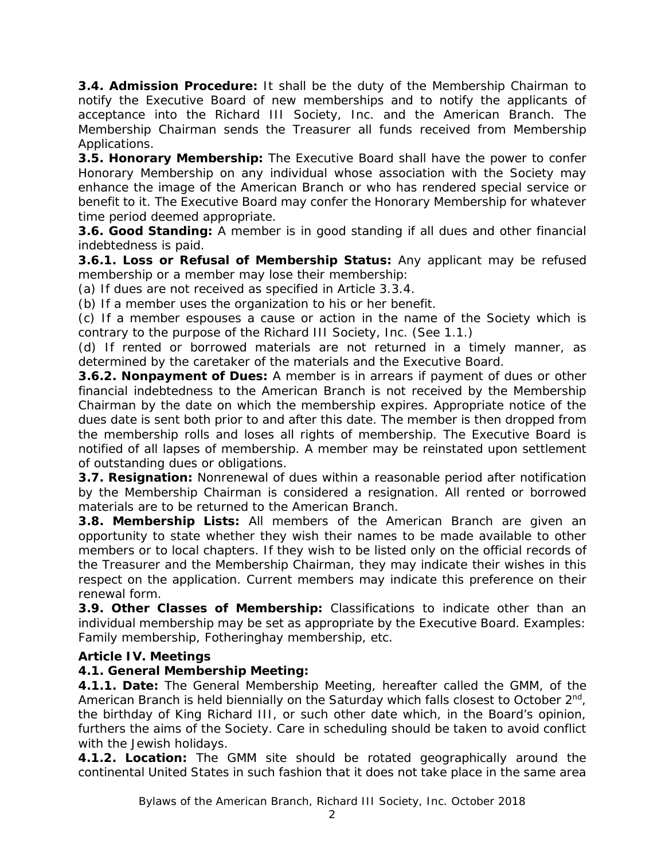**3.4. Admission Procedure:** It shall be the duty of the Membership Chairman to notify the Executive Board of new memberships and to notify the applicants of acceptance into the Richard III Society, Inc. and the American Branch. The Membership Chairman sends the Treasurer all funds received from Membership Applications.

**3.5. Honorary Membership:** The Executive Board shall have the power to confer Honorary Membership on any individual whose association with the Society may enhance the image of the American Branch or who has rendered special service or benefit to it. The Executive Board may confer the Honorary Membership for whatever time period deemed appropriate.

**3.6. Good Standing:** A member is in good standing if all dues and other financial indebtedness is paid.

**3.6.1. Loss or Refusal of Membership Status:** Any applicant may be refused membership or a member may lose their membership:

(a) If dues are not received as specified in Article 3.3.4.

(b) If a member uses the organization to his or her benefit.

(c) If a member espouses a cause or action in the name of the Society which is contrary to the purpose of the Richard III Society, Inc. (See 1.1.)

(d) If rented or borrowed materials are not returned in a timely manner, as determined by the caretaker of the materials and the Executive Board.

**3.6.2. Nonpayment of Dues:** A member is in arrears if payment of dues or other financial indebtedness to the American Branch is not received by the Membership Chairman by the date on which the membership expires. Appropriate notice of the dues date is sent both prior to and after this date. The member is then dropped from the membership rolls and loses all rights of membership. The Executive Board is notified of all lapses of membership. A member may be reinstated upon settlement of outstanding dues or obligations.

**3.7. Resignation:** Nonrenewal of dues within a reasonable period after notification by the Membership Chairman is considered a resignation. All rented or borrowed materials are to be returned to the American Branch.

**3.8. Membership Lists:** All members of the American Branch are given an opportunity to state whether they wish their names to be made available to other members or to local chapters. If they wish to be listed only on the official records of the Treasurer and the Membership Chairman, they may indicate their wishes in this respect on the application. Current members may indicate this preference on their renewal form.

**3.9. Other Classes of Membership:** Classifications to indicate other than an individual membership may be set as appropriate by the Executive Board. Examples: Family membership, Fotheringhay membership, etc.

## **Article IV. Meetings**

## **4.1. General Membership Meeting:**

**4.1.1. Date:** The General Membership Meeting, hereafter called the GMM, of the American Branch is held biennially on the Saturday which falls closest to October  $2<sup>nd</sup>$ , the birthday of King Richard III, or such other date which, in the Board's opinion, furthers the aims of the Society. Care in scheduling should be taken to avoid conflict with the Jewish holidays.

**4.1.2. Location:** The GMM site should be rotated geographically around the continental United States in such fashion that it does not take place in the same area

Bylaws of the American Branch, Richard III Society, Inc. October 2018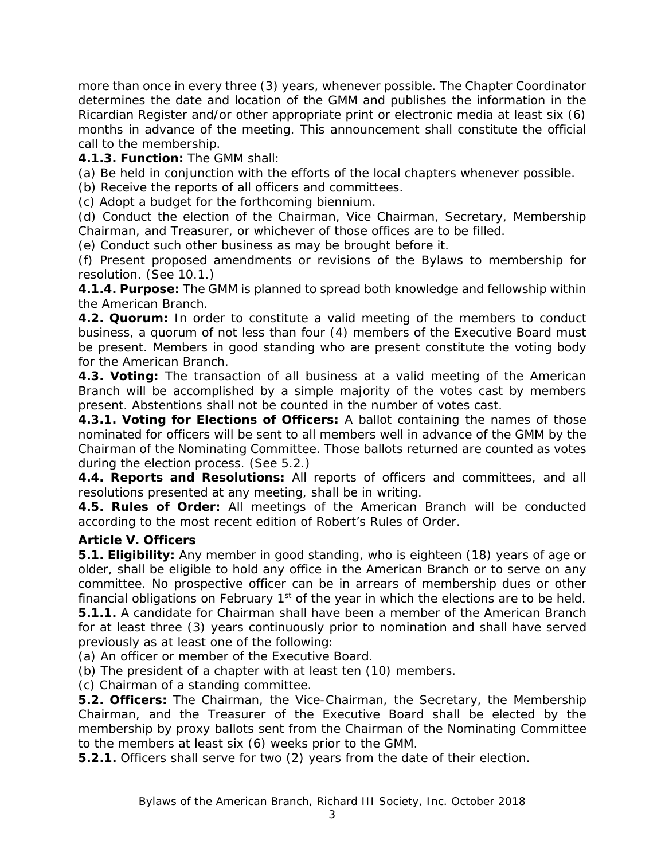more than once in every three (3) years, whenever possible. The Chapter Coordinator determines the date and location of the GMM and publishes the information in the *Ricardian Register* and/or other appropriate print or electronic media at least six (6) months in advance of the meeting. This announcement shall constitute the official call to the membership.

**4.1.3. Function:** The GMM shall:

(a) Be held in conjunction with the efforts of the local chapters whenever possible.

(b) Receive the reports of all officers and committees.

(c) Adopt a budget for the forthcoming biennium.

(d) Conduct the election of the Chairman, Vice Chairman, Secretary, Membership Chairman, and Treasurer, or whichever of those offices are to be filled.

(e) Conduct such other business as may be brought before it.

(f) Present proposed amendments or revisions of the Bylaws to membership for resolution. (See 10.1.)

**4.1.4. Purpose:** The GMM is planned to spread both knowledge and fellowship within the American Branch.

**4.2. Quorum:** In order to constitute a valid meeting of the members to conduct business, a quorum of not less than four (4) members of the Executive Board must be present. Members in good standing who are present constitute the voting body for the American Branch.

**4.3. Voting:** The transaction of all business at a valid meeting of the American Branch will be accomplished by a simple majority of the votes cast by members present. Abstentions shall not be counted in the number of votes cast.

**4.3.1. Voting for Elections of Officers:** A ballot containing the names of those nominated for officers will be sent to all members well in advance of the GMM by the Chairman of the Nominating Committee. Those ballots returned are counted as votes during the election process. (See 5.2.)

**4.4. Reports and Resolutions:** All reports of officers and committees, and all resolutions presented at any meeting, shall be in writing.

**4.5. Rules of Order:** All meetings of the American Branch will be conducted according to the most recent edition of *Robert's Rules of Order*.

## **Article V. Officers**

**5.1. Eligibility:** Any member in good standing, who is eighteen (18) years of age or older, shall be eligible to hold any office in the American Branch or to serve on any committee. No prospective officer can be in arrears of membership dues or other financial obligations on February  $1<sup>st</sup>$  of the year in which the elections are to be held. **5.1.1.** A candidate for Chairman shall have been a member of the American Branch for at least three (3) years continuously prior to nomination and shall have served previously as at least one of the following:

(a) An officer or member of the Executive Board.

(b) The president of a chapter with at least ten (10) members.

(c) Chairman of a standing committee.

**5.2. Officers:** The Chairman, the Vice-Chairman, the Secretary, the Membership Chairman, and the Treasurer of the Executive Board shall be elected by the membership by proxy ballots sent from the Chairman of the Nominating Committee to the members at least six (6) weeks prior to the GMM.

**5.2.1.** Officers shall serve for two (2) years from the date of their election.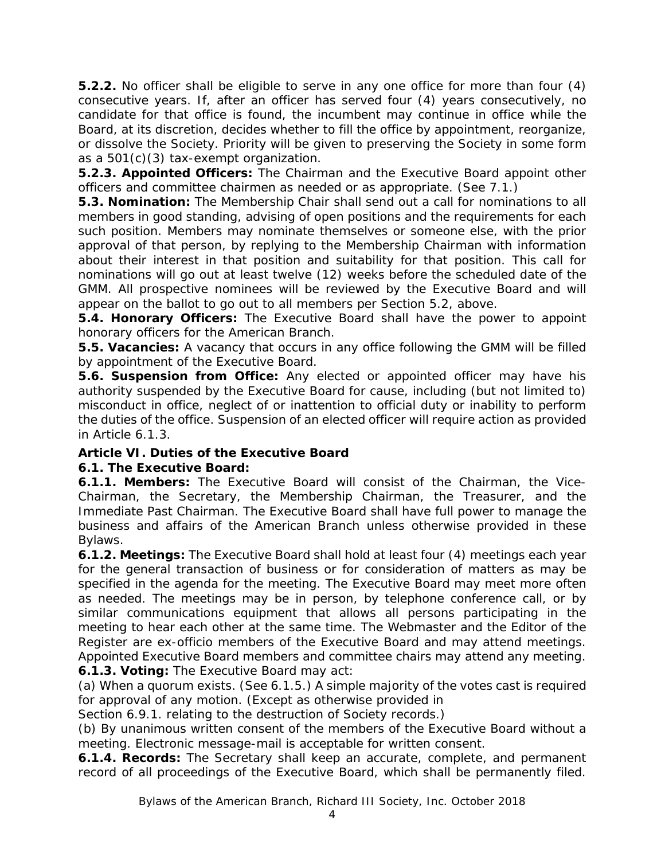**5.2.2.** No officer shall be eligible to serve in any one office for more than four (4) consecutive years. If, after an officer has served four (4) years consecutively, no candidate for that office is found, the incumbent may continue in office while the Board, at its discretion, decides whether to fill the office by appointment, reorganize, or dissolve the Society. Priority will be given to preserving the Society in some form as a 501(c)(3) tax-exempt organization.

**5.2.3. Appointed Officers:** The Chairman and the Executive Board appoint other officers and committee chairmen as needed or as appropriate. (See 7.1.)

**5.3. Nomination:** The Membership Chair shall send out a call for nominations to all members in good standing, advising of open positions and the requirements for each such position. Members may nominate themselves or someone else, with the prior approval of that person, by replying to the Membership Chairman with information about their interest in that position and suitability for that position. This call for nominations will go out at least twelve (12) weeks before the scheduled date of the GMM. All prospective nominees will be reviewed by the Executive Board and will appear on the ballot to go out to all members per Section 5.2, above.

**5.4. Honorary Officers:** The Executive Board shall have the power to appoint honorary officers for the American Branch.

**5.5. Vacancies:** A vacancy that occurs in any office following the GMM will be filled by appointment of the Executive Board.

**5.6. Suspension from Office:** Any elected or appointed officer may have his authority suspended by the Executive Board for cause, including (but not limited to) misconduct in office, neglect of or inattention to official duty or inability to perform the duties of the office. Suspension of an elected officer will require action as provided in Article 6.1.3.

## **Article VI. Duties of the Executive Board**

## **6.1. The Executive Board:**

**6.1.1. Members:** The Executive Board will consist of the Chairman, the Vice-Chairman, the Secretary, the Membership Chairman, the Treasurer, and the Immediate Past Chairman. The Executive Board shall have full power to manage the business and affairs of the American Branch unless otherwise provided in these Bylaws.

**6.1.2. Meetings:** The Executive Board shall hold at least four (4) meetings each year for the general transaction of business or for consideration of matters as may be specified in the agenda for the meeting. The Executive Board may meet more often as needed. The meetings may be in person, by telephone conference call, or by similar communications equipment that allows all persons participating in the meeting to hear each other at the same time. The Webmaster and the Editor of the *Register* are ex-officio members of the Executive Board and may attend meetings. Appointed Executive Board members and committee chairs may attend any meeting. **6.1.3. Voting:** The Executive Board may act:

(a) When a quorum exists. (See 6.1.5.) A simple majority of the votes cast is required for approval of any motion. (Except as otherwise provided in

Section 6.9.1. relating to the destruction of Society records.)

(b) By unanimous written consent of the members of the Executive Board without a meeting. Electronic message-mail is acceptable for written consent.

**6.1.4. Records:** The Secretary shall keep an accurate, complete, and permanent record of all proceedings of the Executive Board, which shall be permanently filed.

Bylaws of the American Branch, Richard III Society, Inc. October 2018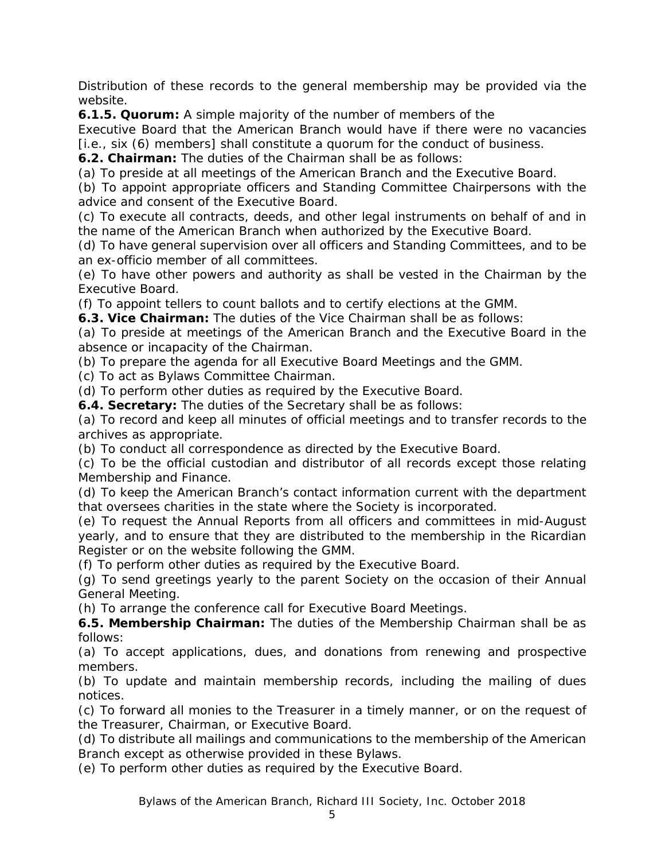Distribution of these records to the general membership may be provided via the website.

**6.1.5. Quorum:** A simple majority of the number of members of the

Executive Board that the American Branch would have if there were no vacancies [i.e., six (6) members] shall constitute a quorum for the conduct of business.

**6.2. Chairman:** The duties of the Chairman shall be as follows:

(a) To preside at all meetings of the American Branch and the Executive Board.

(b) To appoint appropriate officers and Standing Committee Chairpersons with the advice and consent of the Executive Board.

(c) To execute all contracts, deeds, and other legal instruments on behalf of and in the name of the American Branch when authorized by the Executive Board.

(d) To have general supervision over all officers and Standing Committees, and to be an ex-officio member of all committees.

(e) To have other powers and authority as shall be vested in the Chairman by the Executive Board.

(f) To appoint tellers to count ballots and to certify elections at the GMM.

**6.3. Vice Chairman:** The duties of the Vice Chairman shall be as follows:

(a) To preside at meetings of the American Branch and the Executive Board in the absence or incapacity of the Chairman.

(b) To prepare the agenda for all Executive Board Meetings and the GMM.

(c) To act as Bylaws Committee Chairman.

(d) To perform other duties as required by the Executive Board.

**6.4. Secretary:** The duties of the Secretary shall be as follows:

(a) To record and keep all minutes of official meetings and to transfer records to the archives as appropriate.

(b) To conduct all correspondence as directed by the Executive Board.

(c) To be the official custodian and distributor of all records except those relating Membership and Finance.

(d) To keep the American Branch's contact information current with the department that oversees charities in the state where the Society is incorporated.

(e) To request the Annual Reports from all officers and committees in mid-August yearly, and to ensure that they are distributed to the membership in the *Ricardian Register* or on the website following the GMM.

(f) To perform other duties as required by the Executive Board.

(g) To send greetings yearly to the parent Society on the occasion of their Annual General Meeting.

(h) To arrange the conference call for Executive Board Meetings.

**6.5. Membership Chairman:** The duties of the Membership Chairman shall be as follows:

(a) To accept applications, dues, and donations from renewing and prospective members.

(b) To update and maintain membership records, including the mailing of dues notices.

(c) To forward all monies to the Treasurer in a timely manner, or on the request of the Treasurer, Chairman, or Executive Board.

(d) To distribute all mailings and communications to the membership of the American Branch except as otherwise provided in these Bylaws.

(e) To perform other duties as required by the Executive Board.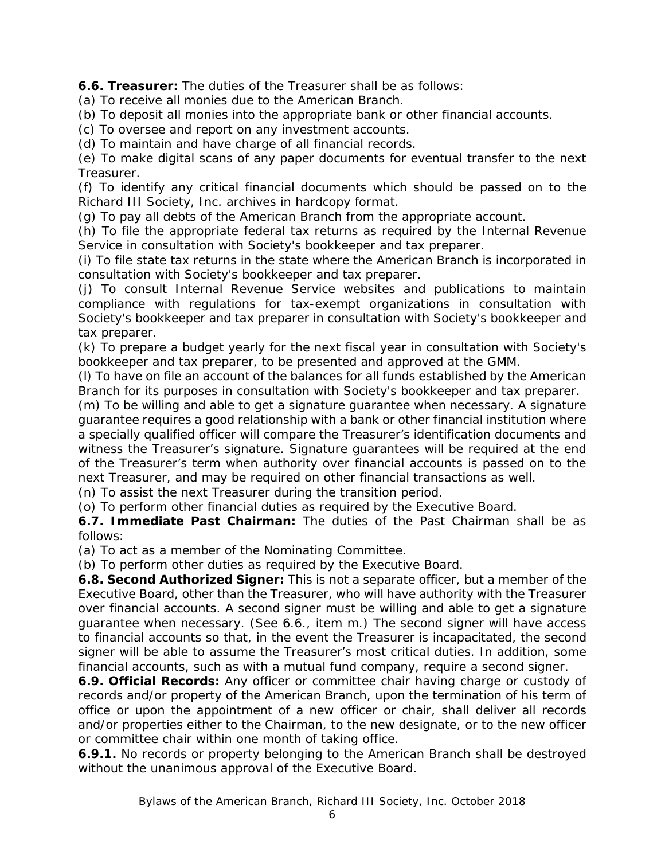**6.6. Treasurer:** The duties of the Treasurer shall be as follows:

(a) To receive all monies due to the American Branch.

(b) To deposit all monies into the appropriate bank or other financial accounts.

(c) To oversee and report on any investment accounts.

(d) To maintain and have charge of all financial records.

(e) To make digital scans of any paper documents for eventual transfer to the next Treasurer.

(f) To identify any critical financial documents which should be passed on to the Richard III Society, Inc. archives in hardcopy format.

(g) To pay all debts of the American Branch from the appropriate account.

(h) To file the appropriate federal tax returns as required by the Internal Revenue Service in consultation with Society's bookkeeper and tax preparer.

(i) To file state tax returns in the state where the American Branch is incorporated in consultation with Society's bookkeeper and tax preparer.

(j) To consult Internal Revenue Service websites and publications to maintain compliance with regulations for tax-exempt organizations in consultation with Society's bookkeeper and tax preparer in consultation with Society's bookkeeper and tax preparer.

(k) To prepare a budget yearly for the next fiscal year in consultation with Society's bookkeeper and tax preparer, to be presented and approved at the GMM.

(l) To have on file an account of the balances for all funds established by the American Branch for its purposes in consultation with Society's bookkeeper and tax preparer.

(m) To be willing and able to get a signature guarantee when necessary. A signature guarantee requires a good relationship with a bank or other financial institution where a specially qualified officer will compare the Treasurer's identification documents and witness the Treasurer's signature. Signature guarantees will be required at the end of the Treasurer's term when authority over financial accounts is passed on to the next Treasurer, and may be required on other financial transactions as well.

(n) To assist the next Treasurer during the transition period.

(o) To perform other financial duties as required by the Executive Board.

**6.7. Immediate Past Chairman:** The duties of the Past Chairman shall be as follows:

(a) To act as a member of the Nominating Committee.

(b) To perform other duties as required by the Executive Board.

**6.8. Second Authorized Signer:** This is not a separate officer, but a member of the Executive Board, other than the Treasurer, who will have authority with the Treasurer over financial accounts. A second signer must be willing and able to get a signature guarantee when necessary. (See 6.6., item m.) The second signer will have access to financial accounts so that, in the event the Treasurer is incapacitated, the second signer will be able to assume the Treasurer's most critical duties. In addition, some financial accounts, such as with a mutual fund company, require a second signer.

**6.9. Official Records:** Any officer or committee chair having charge or custody of records and/or property of the American Branch, upon the termination of his term of office or upon the appointment of a new officer or chair, shall deliver all records and/or properties either to the Chairman, to the new designate, or to the new officer or committee chair within one month of taking office.

**6.9.1.** No records or property belonging to the American Branch shall be destroyed without the unanimous approval of the Executive Board.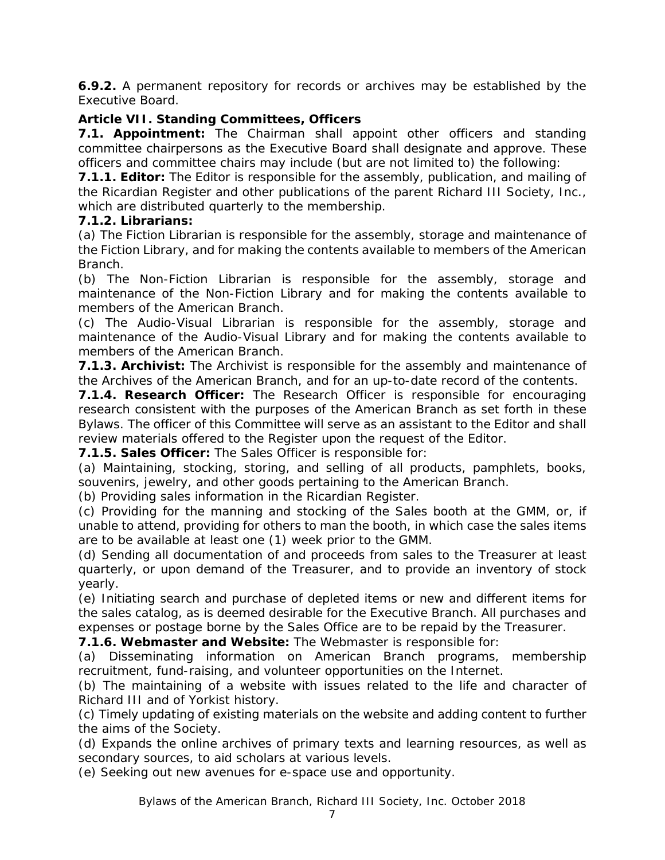**6.9.2.** A permanent repository for records or archives may be established by the Executive Board.

# **Article VII. Standing Committees, Officers**

**7.1. Appointment:** The Chairman shall appoint other officers and standing committee chairpersons as the Executive Board shall designate and approve. These officers and committee chairs may include (but are not limited to) the following:

**7.1.1. Editor:** The Editor is responsible for the assembly, publication, and mailing of the *Ricardian Register* and other publications of the parent Richard III Society, Inc., which are distributed quarterly to the membership.

## **7.1.2. Librarians:**

(a) The Fiction Librarian is responsible for the assembly, storage and maintenance of the Fiction Library, and for making the contents available to members of the American Branch.

(b) The Non-Fiction Librarian is responsible for the assembly, storage and maintenance of the Non-Fiction Library and for making the contents available to members of the American Branch.

(c) The Audio-Visual Librarian is responsible for the assembly, storage and maintenance of the Audio-Visual Library and for making the contents available to members of the American Branch.

**7.1.3. Archivist:** The Archivist is responsible for the assembly and maintenance of the Archives of the American Branch, and for an up-to-date record of the contents.

**7.1.4. Research Officer:** The Research Officer is responsible for encouraging research consistent with the purposes of the American Branch as set forth in these Bylaws. The officer of this Committee will serve as an assistant to the Editor and shall review materials offered to the *Register* upon the request of the Editor.

**7.1.5. Sales Officer:** The Sales Officer is responsible for:

(a) Maintaining, stocking, storing, and selling of all products, pamphlets, books, souvenirs, jewelry, and other goods pertaining to the American Branch.

(b) Providing sales information in the *Ricardian Register*.

(c) Providing for the manning and stocking of the Sales booth at the GMM, or, if unable to attend, providing for others to man the booth, in which case the sales items are to be available at least one (1) week prior to the GMM.

(d) Sending all documentation of and proceeds from sales to the Treasurer at least quarterly, or upon demand of the Treasurer, and to provide an inventory of stock yearly.

(e) Initiating search and purchase of depleted items or new and different items for the sales catalog, as is deemed desirable for the Executive Branch. All purchases and expenses or postage borne by the Sales Office are to be repaid by the Treasurer.

**7.1.6. Webmaster and Website:** The Webmaster is responsible for:

(a) Disseminating information on American Branch programs, membership recruitment, fund-raising, and volunteer opportunities on the Internet.

(b) The maintaining of a website with issues related to the life and character of Richard III and of Yorkist history.

(c) Timely updating of existing materials on the website and adding content to further the aims of the Society.

(d) Expands the online archives of primary texts and learning resources, as well as secondary sources, to aid scholars at various levels.

(e) Seeking out new avenues for e-space use and opportunity.

Bylaws of the American Branch, Richard III Society, Inc. October 2018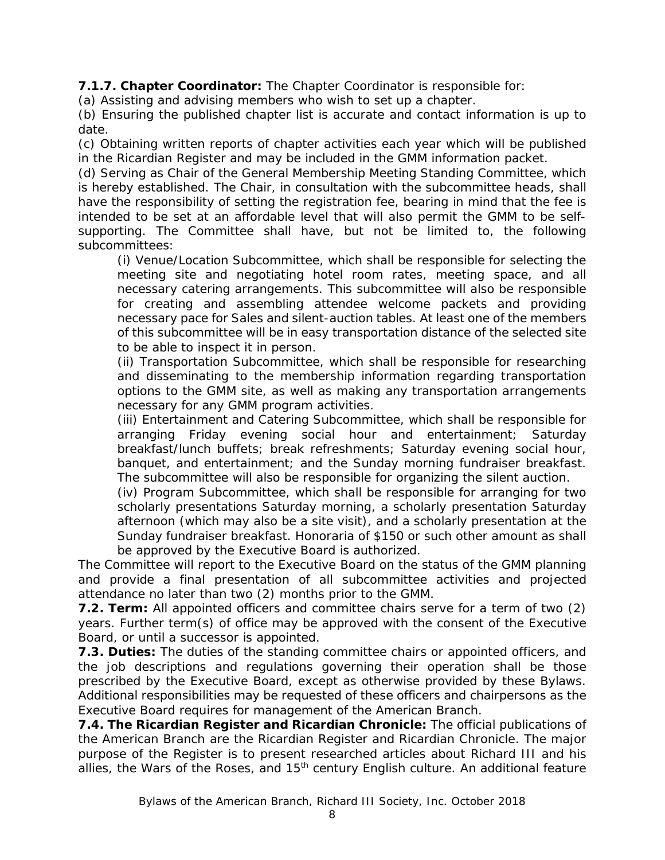**7.1.7. Chapter Coordinator:** The Chapter Coordinator is responsible for:

(a) Assisting and advising members who wish to set up a chapter.

(b) Ensuring the published chapter list is accurate and contact information is up to date.

(c) Obtaining written reports of chapter activities each year which will be published in the *Ricardian Register* and may be included in the GMM information packet.

(d) Serving as Chair of the General Membership Meeting Standing Committee, which is hereby established. The Chair, in consultation with the subcommittee heads, shall have the responsibility of setting the registration fee, bearing in mind that the fee is intended to be set at an affordable level that will also permit the GMM to be selfsupporting. The Committee shall have, but not be limited to, the following subcommittees:

(i) Venue/Location Subcommittee, which shall be responsible for selecting the meeting site and negotiating hotel room rates, meeting space, and all necessary catering arrangements. This subcommittee will also be responsible for creating and assembling attendee welcome packets and providing necessary pace for Sales and silent-auction tables. At least one of the members of this subcommittee will be in easy transportation distance of the selected site to be able to inspect it in person.

(ii) Transportation Subcommittee, which shall be responsible for researching and disseminating to the membership information regarding transportation options to the GMM site, as well as making any transportation arrangements necessary for any GMM program activities.

(iii) Entertainment and Catering Subcommittee, which shall be responsible for arranging Friday evening social hour and entertainment; Saturday breakfast/lunch buffets; break refreshments; Saturday evening social hour, banquet, and entertainment; and the Sunday morning fundraiser breakfast. The subcommittee will also be responsible for organizing the silent auction.

(iv) Program Subcommittee, which shall be responsible for arranging for two scholarly presentations Saturday morning, a scholarly presentation Saturday afternoon (which may also be a site visit), and a scholarly presentation at the Sunday fundraiser breakfast. Honoraria of \$150 or such other amount as shall be approved by the Executive Board is authorized.

The Committee will report to the Executive Board on the status of the GMM planning and provide a final presentation of all subcommittee activities and projected attendance no later than two (2) months prior to the GMM.

**7.2. Term:** All appointed officers and committee chairs serve for a term of two (2) years. Further term(s) of office may be approved with the consent of the Executive Board, or until a successor is appointed.

**7.3. Duties:** The duties of the standing committee chairs or appointed officers, and the job descriptions and regulations governing their operation shall be those prescribed by the Executive Board, except as otherwise provided by these Bylaws. Additional responsibilities may be requested of these officers and chairpersons as the Executive Board requires for management of the American Branch.

**7.4. The** *Ricardian Register* **and** *Ricardian Chronicle***:** The official publications of the American Branch are the *Ricardian Register and Ricardian Chronicle*. The major purpose of the *Register* is to present researched articles about Richard III and his allies, the Wars of the Roses, and 15<sup>th</sup> century English culture. An additional feature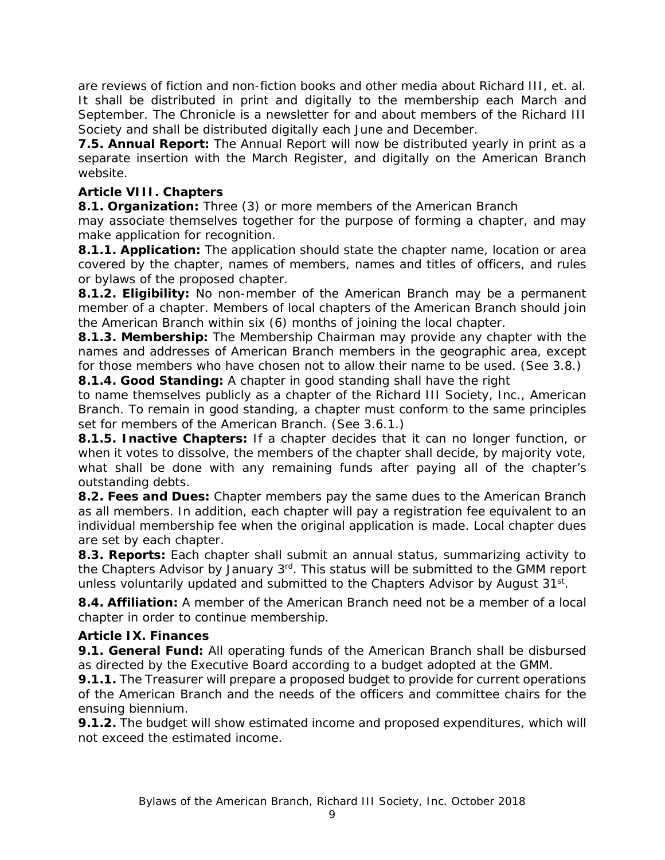are reviews of fiction and non-fiction books and other media about Richard III, et. al. It shall be distributed in print and digitally to the membership each March and September. The *Chronicle* is a newsletter for and about members of the Richard III Society and shall be distributed digitally each June and December.

**7.5. Annual Report:** The Annual Report will now be distributed yearly in print as a separate insertion with the March Register, and digitally on the American Branch website.

# **Article VIII. Chapters**

**8.1. Organization:** Three (3) or more members of the American Branch

may associate themselves together for the purpose of forming a chapter, and may make application for recognition.

**8.1.1. Application:** The application should state the chapter name, location or area covered by the chapter, names of members, names and titles of officers, and rules or bylaws of the proposed chapter.

**8.1.2. Eligibility:** No non-member of the American Branch may be a permanent member of a chapter. Members of local chapters of the American Branch should join the American Branch within six (6) months of joining the local chapter.

**8.1.3. Membership:** The Membership Chairman may provide any chapter with the names and addresses of American Branch members in the geographic area, except for those members who have chosen not to allow their name to be used. (See 3.8.)

**8.1.4. Good Standing:** A chapter in good standing shall have the right

to name themselves publicly as a chapter of the Richard III Society, Inc., American Branch. To remain in good standing, a chapter must conform to the same principles set for members of the American Branch. (See 3.6.1.)

**8.1.5. Inactive Chapters:** If a chapter decides that it can no longer function, or when it votes to dissolve, the members of the chapter shall decide, by majority vote, what shall be done with any remaining funds after paying all of the chapter's outstanding debts.

**8.2. Fees and Dues:** Chapter members pay the same dues to the American Branch as all members. In addition, each chapter will pay a registration fee equivalent to an individual membership fee when the original application is made. Local chapter dues are set by each chapter.

**8.3. Reports:** Each chapter shall submit an annual status, summarizing activity to the Chapters Advisor by January 3rd. This status will be submitted to the GMM report unless voluntarily updated and submitted to the Chapters Advisor by August 31<sup>st</sup>.

**8.4. Affiliation:** A member of the American Branch need not be a member of a local chapter in order to continue membership.

# **Article IX. Finances**

**9.1. General Fund:** All operating funds of the American Branch shall be disbursed as directed by the Executive Board according to a budget adopted at the GMM.

**9.1.1.** The Treasurer will prepare a proposed budget to provide for current operations of the American Branch and the needs of the officers and committee chairs for the ensuing biennium.

**9.1.2.** The budget will show estimated income and proposed expenditures, which will not exceed the estimated income.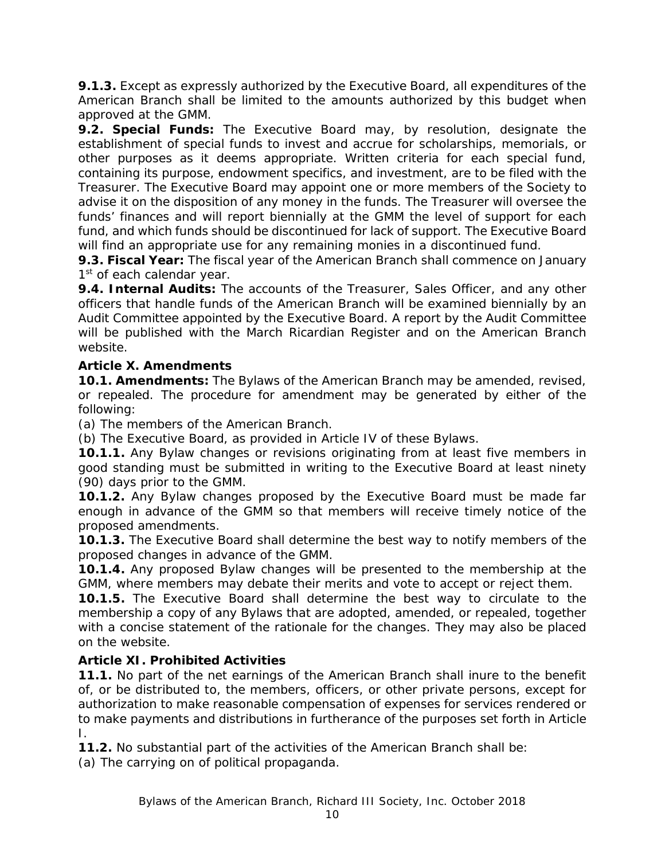**9.1.3.** Except as expressly authorized by the Executive Board, all expenditures of the American Branch shall be limited to the amounts authorized by this budget when approved at the GMM.

**9.2. Special Funds:** The Executive Board may, by resolution, designate the establishment of special funds to invest and accrue for scholarships, memorials, or other purposes as it deems appropriate. Written criteria for each special fund, containing its purpose, endowment specifics, and investment, are to be filed with the Treasurer. The Executive Board may appoint one or more members of the Society to advise it on the disposition of any money in the funds. The Treasurer will oversee the funds' finances and will report biennially at the GMM the level of support for each fund, and which funds should be discontinued for lack of support. The Executive Board will find an appropriate use for any remaining monies in a discontinued fund.

**9.3. Fiscal Year:** The fiscal year of the American Branch shall commence on January 1<sup>st</sup> of each calendar year.

**9.4. Internal Audits:** The accounts of the Treasurer, Sales Officer, and any other officers that handle funds of the American Branch will be examined biennially by an Audit Committee appointed by the Executive Board. A report by the Audit Committee will be published with the March *Ricardian Register* and on the American Branch website.

# **Article X. Amendments**

**10.1. Amendments:** The Bylaws of the American Branch may be amended, revised, or repealed. The procedure for amendment may be generated by either of the following:

(a) The members of the American Branch.

(b) The Executive Board, as provided in Article IV of these Bylaws.

**10.1.1.** Any Bylaw changes or revisions originating from at least five members in good standing must be submitted in writing to the Executive Board at least ninety (90) days prior to the GMM.

**10.1.2.** Any Bylaw changes proposed by the Executive Board must be made far enough in advance of the GMM so that members will receive timely notice of the proposed amendments.

**10.1.3.** The Executive Board shall determine the best way to notify members of the proposed changes in advance of the GMM.

**10.1.4.** Any proposed Bylaw changes will be presented to the membership at the GMM, where members may debate their merits and vote to accept or reject them.

**10.1.5.** The Executive Board shall determine the best way to circulate to the membership a copy of any Bylaws that are adopted, amended, or repealed, together with a concise statement of the rationale for the changes. They may also be placed on the website.

## **Article XI. Prohibited Activities**

**11.1.** No part of the net earnings of the American Branch shall inure to the benefit of, or be distributed to, the members, officers, or other private persons, except for authorization to make reasonable compensation of expenses for services rendered or to make payments and distributions in furtherance of the purposes set forth in Article I.

**11.2.** No substantial part of the activities of the American Branch shall be:

(a) The carrying on of political propaganda.